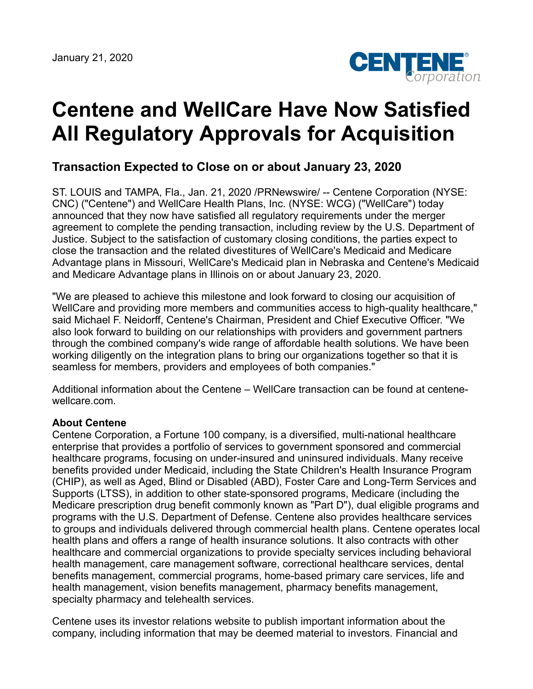

# **Centene and WellCare Have Now Satisfied All Regulatory Approvals for Acquisition**

## **Transaction Expected to Close on or about January 23, 2020**

ST. LOUIS and TAMPA, Fla., Jan. 21, 2020 /PRNewswire/ -- Centene Corporation (NYSE: CNC) ("Centene") and WellCare Health Plans, Inc. (NYSE: WCG) ("WellCare") today announced that they now have satisfied all regulatory requirements under the merger agreement to complete the pending transaction, including review by the U.S. Department of Justice. Subject to the satisfaction of customary closing conditions, the parties expect to close the transaction and the related divestitures of WellCare's Medicaid and Medicare Advantage plans in Missouri, WellCare's Medicaid plan in Nebraska and Centene's Medicaid and Medicare Advantage plans in Illinois on or about January 23, 2020.

"We are pleased to achieve this milestone and look forward to closing our acquisition of WellCare and providing more members and communities access to high-quality healthcare," said Michael F. Neidorff, Centene's Chairman, President and Chief Executive Officer. "We also look forward to building on our relationships with providers and government partners through the combined company's wide range of affordable health solutions. We have been working diligently on the integration plans to bring our organizations together so that it is seamless for members, providers and employees of both companies."

Additional information about the Centene – WellCare transaction can be found at centenewellcare.com.

#### **About Centene**

Centene Corporation, a Fortune 100 company, is a diversified, multi-national healthcare enterprise that provides a portfolio of services to government sponsored and commercial healthcare programs, focusing on under-insured and uninsured individuals. Many receive benefits provided under Medicaid, including the State Children's Health Insurance Program (CHIP), as well as Aged, Blind or Disabled (ABD), Foster Care and Long-Term Services and Supports (LTSS), in addition to other state-sponsored programs, Medicare (including the Medicare prescription drug benefit commonly known as "Part D"), dual eligible programs and programs with the U.S. Department of Defense. Centene also provides healthcare services to groups and individuals delivered through commercial health plans. Centene operates local health plans and offers a range of health insurance solutions. It also contracts with other healthcare and commercial organizations to provide specialty services including behavioral health management, care management software, correctional healthcare services, dental benefits management, commercial programs, home-based primary care services, life and health management, vision benefits management, pharmacy benefits management, specialty pharmacy and telehealth services.

Centene uses its investor relations website to publish important information about the company, including information that may be deemed material to investors. Financial and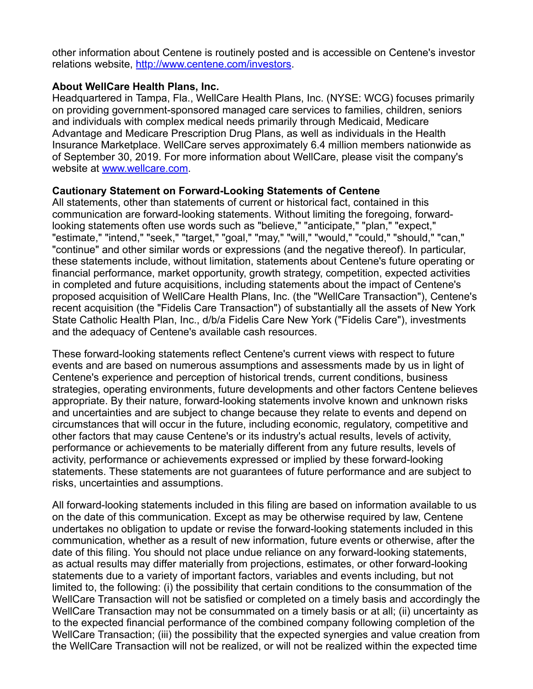other information about Centene is routinely posted and is accessible on Centene's investor relations website, <http://www.centene.com/investors>.

#### **About WellCare Health Plans, Inc.**

Headquartered in Tampa, Fla., WellCare Health Plans, Inc. (NYSE: WCG) focuses primarily on providing government-sponsored managed care services to families, children, seniors and individuals with complex medical needs primarily through Medicaid, Medicare Advantage and Medicare Prescription Drug Plans, as well as individuals in the Health Insurance Marketplace. WellCare serves approximately 6.4 million members nationwide as of September 30, 2019. For more information about WellCare, please visit the company's website at [www.wellcare.com](http://www.wellcare.com/).

#### **Cautionary Statement on Forward-Looking Statements of Centene**

All statements, other than statements of current or historical fact, contained in this communication are forward-looking statements. Without limiting the foregoing, forwardlooking statements often use words such as "believe," "anticipate," "plan," "expect," "estimate," "intend," "seek," "target," "goal," "may," "will," "would," "could," "should," "can," "continue" and other similar words or expressions (and the negative thereof). In particular, these statements include, without limitation, statements about Centene's future operating or financial performance, market opportunity, growth strategy, competition, expected activities in completed and future acquisitions, including statements about the impact of Centene's proposed acquisition of WellCare Health Plans, Inc. (the "WellCare Transaction"), Centene's recent acquisition (the "Fidelis Care Transaction") of substantially all the assets of New York State Catholic Health Plan, Inc., d/b/a Fidelis Care New York ("Fidelis Care"), investments and the adequacy of Centene's available cash resources.

These forward-looking statements reflect Centene's current views with respect to future events and are based on numerous assumptions and assessments made by us in light of Centene's experience and perception of historical trends, current conditions, business strategies, operating environments, future developments and other factors Centene believes appropriate. By their nature, forward-looking statements involve known and unknown risks and uncertainties and are subject to change because they relate to events and depend on circumstances that will occur in the future, including economic, regulatory, competitive and other factors that may cause Centene's or its industry's actual results, levels of activity, performance or achievements to be materially different from any future results, levels of activity, performance or achievements expressed or implied by these forward-looking statements. These statements are not guarantees of future performance and are subject to risks, uncertainties and assumptions.

All forward-looking statements included in this filing are based on information available to us on the date of this communication. Except as may be otherwise required by law, Centene undertakes no obligation to update or revise the forward-looking statements included in this communication, whether as a result of new information, future events or otherwise, after the date of this filing. You should not place undue reliance on any forward-looking statements, as actual results may differ materially from projections, estimates, or other forward-looking statements due to a variety of important factors, variables and events including, but not limited to, the following: (i) the possibility that certain conditions to the consummation of the WellCare Transaction will not be satisfied or completed on a timely basis and accordingly the WellCare Transaction may not be consummated on a timely basis or at all; (ii) uncertainty as to the expected financial performance of the combined company following completion of the WellCare Transaction; (iii) the possibility that the expected synergies and value creation from the WellCare Transaction will not be realized, or will not be realized within the expected time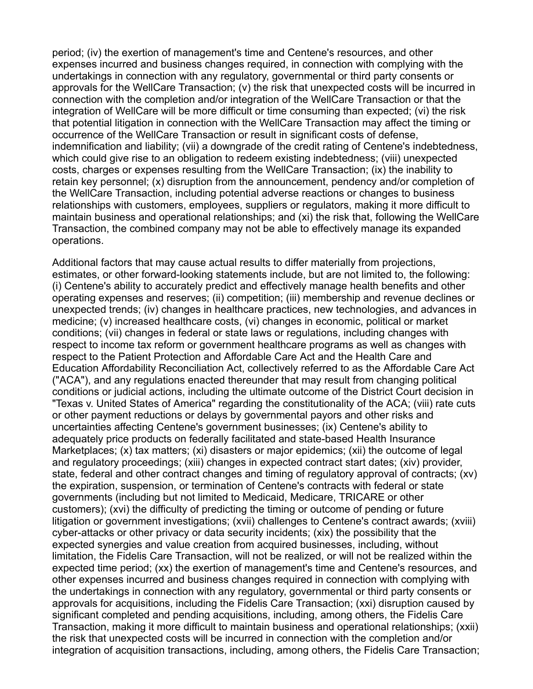period; (iv) the exertion of management's time and Centene's resources, and other expenses incurred and business changes required, in connection with complying with the undertakings in connection with any regulatory, governmental or third party consents or approvals for the WellCare Transaction; (v) the risk that unexpected costs will be incurred in connection with the completion and/or integration of the WellCare Transaction or that the integration of WellCare will be more difficult or time consuming than expected; (vi) the risk that potential litigation in connection with the WellCare Transaction may affect the timing or occurrence of the WellCare Transaction or result in significant costs of defense, indemnification and liability; (vii) a downgrade of the credit rating of Centene's indebtedness, which could give rise to an obligation to redeem existing indebtedness; (viii) unexpected costs, charges or expenses resulting from the WellCare Transaction; (ix) the inability to retain key personnel; (x) disruption from the announcement, pendency and/or completion of the WellCare Transaction, including potential adverse reactions or changes to business relationships with customers, employees, suppliers or regulators, making it more difficult to maintain business and operational relationships; and (xi) the risk that, following the WellCare Transaction, the combined company may not be able to effectively manage its expanded operations.

Additional factors that may cause actual results to differ materially from projections, estimates, or other forward-looking statements include, but are not limited to, the following: (i) Centene's ability to accurately predict and effectively manage health benefits and other operating expenses and reserves; (ii) competition; (iii) membership and revenue declines or unexpected trends; (iv) changes in healthcare practices, new technologies, and advances in medicine; (v) increased healthcare costs, (vi) changes in economic, political or market conditions; (vii) changes in federal or state laws or regulations, including changes with respect to income tax reform or government healthcare programs as well as changes with respect to the Patient Protection and Affordable Care Act and the Health Care and Education Affordability Reconciliation Act, collectively referred to as the Affordable Care Act ("ACA"), and any regulations enacted thereunder that may result from changing political conditions or judicial actions, including the ultimate outcome of the District Court decision in "Texas v. United States of America" regarding the constitutionality of the ACA; (viii) rate cuts or other payment reductions or delays by governmental payors and other risks and uncertainties affecting Centene's government businesses; (ix) Centene's ability to adequately price products on federally facilitated and state-based Health Insurance Marketplaces; (x) tax matters; (xi) disasters or major epidemics; (xii) the outcome of legal and regulatory proceedings; (xiii) changes in expected contract start dates; (xiv) provider, state, federal and other contract changes and timing of regulatory approval of contracts; (xv) the expiration, suspension, or termination of Centene's contracts with federal or state governments (including but not limited to Medicaid, Medicare, TRICARE or other customers); (xvi) the difficulty of predicting the timing or outcome of pending or future litigation or government investigations; (xvii) challenges to Centene's contract awards; (xviii) cyber-attacks or other privacy or data security incidents; (xix) the possibility that the expected synergies and value creation from acquired businesses, including, without limitation, the Fidelis Care Transaction, will not be realized, or will not be realized within the expected time period; (xx) the exertion of management's time and Centene's resources, and other expenses incurred and business changes required in connection with complying with the undertakings in connection with any regulatory, governmental or third party consents or approvals for acquisitions, including the Fidelis Care Transaction; (xxi) disruption caused by significant completed and pending acquisitions, including, among others, the Fidelis Care Transaction, making it more difficult to maintain business and operational relationships; (xxii) the risk that unexpected costs will be incurred in connection with the completion and/or integration of acquisition transactions, including, among others, the Fidelis Care Transaction;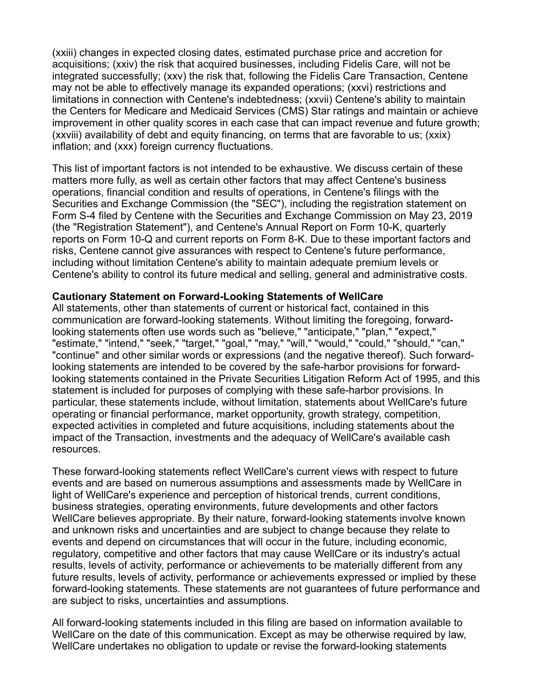(xxiii) changes in expected closing dates, estimated purchase price and accretion for acquisitions; (xxiv) the risk that acquired businesses, including Fidelis Care, will not be integrated successfully; (xxv) the risk that, following the Fidelis Care Transaction, Centene may not be able to effectively manage its expanded operations; (xxvi) restrictions and limitations in connection with Centene's indebtedness; (xxvii) Centene's ability to maintain the Centers for Medicare and Medicaid Services (CMS) Star ratings and maintain or achieve improvement in other quality scores in each case that can impact revenue and future growth; (xxviii) availability of debt and equity financing, on terms that are favorable to us; (xxix) inflation; and (xxx) foreign currency fluctuations.

This list of important factors is not intended to be exhaustive. We discuss certain of these matters more fully, as well as certain other factors that may affect Centene's business operations, financial condition and results of operations, in Centene's filings with the Securities and Exchange Commission (the "SEC"), including the registration statement on Form S-4 filed by Centene with the Securities and Exchange Commission on May 23, 2019 (the "Registration Statement"), and Centene's Annual Report on Form 10-K, quarterly reports on Form 10-Q and current reports on Form 8-K. Due to these important factors and risks, Centene cannot give assurances with respect to Centene's future performance, including without limitation Centene's ability to maintain adequate premium levels or Centene's ability to control its future medical and selling, general and administrative costs.

#### **Cautionary Statement on Forward-Looking Statements of WellCare**

All statements, other than statements of current or historical fact, contained in this communication are forward-looking statements. Without limiting the foregoing, forwardlooking statements often use words such as "believe," "anticipate," "plan," "expect," "estimate," "intend," "seek," "target," "goal," "may," "will," "would," "could," "should," "can," "continue" and other similar words or expressions (and the negative thereof). Such forwardlooking statements are intended to be covered by the safe-harbor provisions for forwardlooking statements contained in the Private Securities Litigation Reform Act of 1995, and this statement is included for purposes of complying with these safe-harbor provisions. In particular, these statements include, without limitation, statements about WellCare's future operating or financial performance, market opportunity, growth strategy, competition, expected activities in completed and future acquisitions, including statements about the impact of the Transaction, investments and the adequacy of WellCare's available cash resources.

These forward-looking statements reflect WellCare's current views with respect to future events and are based on numerous assumptions and assessments made by WellCare in light of WellCare's experience and perception of historical trends, current conditions, business strategies, operating environments, future developments and other factors WellCare believes appropriate. By their nature, forward-looking statements involve known and unknown risks and uncertainties and are subject to change because they relate to events and depend on circumstances that will occur in the future, including economic, regulatory, competitive and other factors that may cause WellCare or its industry's actual results, levels of activity, performance or achievements to be materially different from any future results, levels of activity, performance or achievements expressed or implied by these forward-looking statements. These statements are not guarantees of future performance and are subject to risks, uncertainties and assumptions.

All forward-looking statements included in this filing are based on information available to WellCare on the date of this communication. Except as may be otherwise required by law, WellCare undertakes no obligation to update or revise the forward-looking statements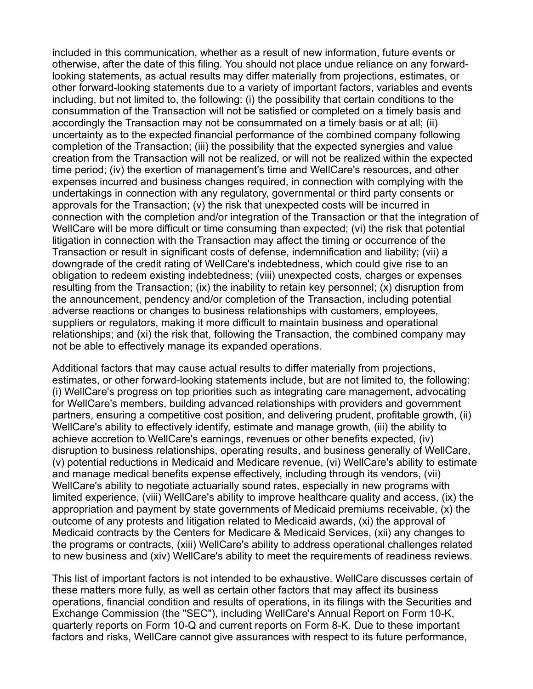included in this communication, whether as a result of new information, future events or otherwise, after the date of this filing. You should not place undue reliance on any forwardlooking statements, as actual results may differ materially from projections, estimates, or other forward-looking statements due to a variety of important factors, variables and events including, but not limited to, the following: (i) the possibility that certain conditions to the consummation of the Transaction will not be satisfied or completed on a timely basis and accordingly the Transaction may not be consummated on a timely basis or at all; (ii) uncertainty as to the expected financial performance of the combined company following completion of the Transaction; (iii) the possibility that the expected synergies and value creation from the Transaction will not be realized, or will not be realized within the expected time period; (iv) the exertion of management's time and WellCare's resources, and other expenses incurred and business changes required, in connection with complying with the undertakings in connection with any regulatory, governmental or third party consents or approvals for the Transaction; (v) the risk that unexpected costs will be incurred in connection with the completion and/or integration of the Transaction or that the integration of WellCare will be more difficult or time consuming than expected; (vi) the risk that potential litigation in connection with the Transaction may affect the timing or occurrence of the Transaction or result in significant costs of defense, indemnification and liability; (vii) a downgrade of the credit rating of WellCare's indebtedness, which could give rise to an obligation to redeem existing indebtedness; (viii) unexpected costs, charges or expenses resulting from the Transaction; (ix) the inability to retain key personnel; (x) disruption from the announcement, pendency and/or completion of the Transaction, including potential adverse reactions or changes to business relationships with customers, employees, suppliers or regulators, making it more difficult to maintain business and operational relationships; and (xi) the risk that, following the Transaction, the combined company may not be able to effectively manage its expanded operations.

Additional factors that may cause actual results to differ materially from projections, estimates, or other forward-looking statements include, but are not limited to, the following: (i) WellCare's progress on top priorities such as integrating care management, advocating for WellCare's members, building advanced relationships with providers and government partners, ensuring a competitive cost position, and delivering prudent, profitable growth, (ii) WellCare's ability to effectively identify, estimate and manage growth, (iii) the ability to achieve accretion to WellCare's earnings, revenues or other benefits expected, (iv) disruption to business relationships, operating results, and business generally of WellCare, (v) potential reductions in Medicaid and Medicare revenue, (vi) WellCare's ability to estimate and manage medical benefits expense effectively, including through its vendors, (vii) WellCare's ability to negotiate actuarially sound rates, especially in new programs with limited experience, (viii) WellCare's ability to improve healthcare quality and access, (ix) the appropriation and payment by state governments of Medicaid premiums receivable, (x) the outcome of any protests and litigation related to Medicaid awards, (xi) the approval of Medicaid contracts by the Centers for Medicare & Medicaid Services, (xii) any changes to the programs or contracts, (xiii) WellCare's ability to address operational challenges related to new business and (xiv) WellCare's ability to meet the requirements of readiness reviews.

This list of important factors is not intended to be exhaustive. WellCare discusses certain of these matters more fully, as well as certain other factors that may affect its business operations, financial condition and results of operations, in its filings with the Securities and Exchange Commission (the "SEC"), including WellCare's Annual Report on Form 10-K, quarterly reports on Form 10-Q and current reports on Form 8-K. Due to these important factors and risks, WellCare cannot give assurances with respect to its future performance,